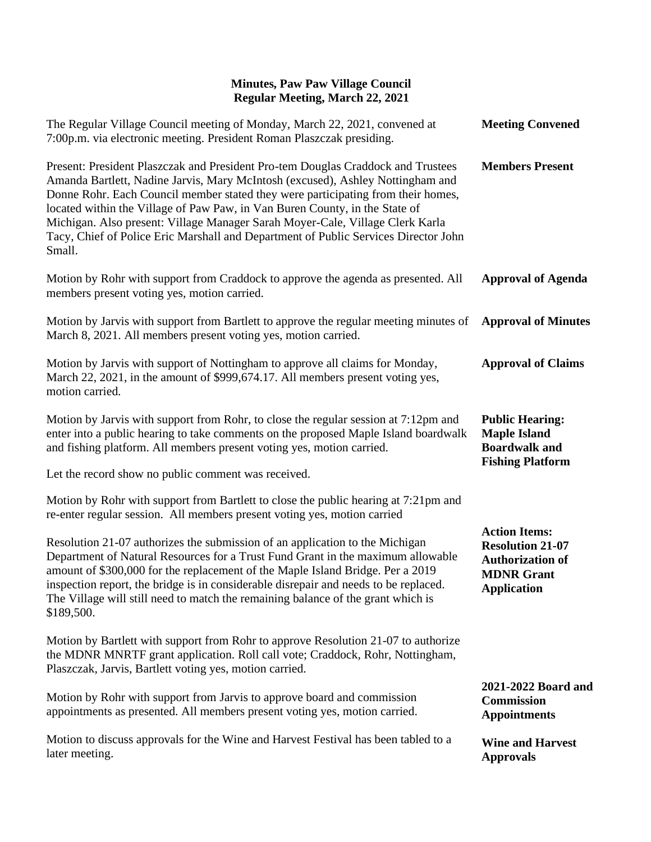| The Regular Village Council meeting of Monday, March 22, 2021, convened at<br>7:00p.m. via electronic meeting. President Roman Plaszczak presiding.                                                                                                                                                                                                                                                                                                                                                                     | <b>Meeting Convened</b>                                                                                               |
|-------------------------------------------------------------------------------------------------------------------------------------------------------------------------------------------------------------------------------------------------------------------------------------------------------------------------------------------------------------------------------------------------------------------------------------------------------------------------------------------------------------------------|-----------------------------------------------------------------------------------------------------------------------|
| Present: President Plaszczak and President Pro-tem Douglas Craddock and Trustees<br>Amanda Bartlett, Nadine Jarvis, Mary McIntosh (excused), Ashley Nottingham and<br>Donne Rohr. Each Council member stated they were participating from their homes,<br>located within the Village of Paw Paw, in Van Buren County, in the State of<br>Michigan. Also present: Village Manager Sarah Moyer-Cale, Village Clerk Karla<br>Tacy, Chief of Police Eric Marshall and Department of Public Services Director John<br>Small. | <b>Members Present</b>                                                                                                |
| Motion by Rohr with support from Craddock to approve the agenda as presented. All<br>members present voting yes, motion carried.                                                                                                                                                                                                                                                                                                                                                                                        | <b>Approval of Agenda</b>                                                                                             |
| Motion by Jarvis with support from Bartlett to approve the regular meeting minutes of<br>March 8, 2021. All members present voting yes, motion carried.                                                                                                                                                                                                                                                                                                                                                                 | <b>Approval of Minutes</b>                                                                                            |
| Motion by Jarvis with support of Nottingham to approve all claims for Monday,<br>March 22, 2021, in the amount of \$999,674.17. All members present voting yes,<br>motion carried.                                                                                                                                                                                                                                                                                                                                      | <b>Approval of Claims</b>                                                                                             |
| Motion by Jarvis with support from Rohr, to close the regular session at 7:12pm and<br>enter into a public hearing to take comments on the proposed Maple Island boardwalk<br>and fishing platform. All members present voting yes, motion carried.                                                                                                                                                                                                                                                                     | <b>Public Hearing:</b><br><b>Maple Island</b><br><b>Boardwalk</b> and<br><b>Fishing Platform</b>                      |
| Let the record show no public comment was received.                                                                                                                                                                                                                                                                                                                                                                                                                                                                     |                                                                                                                       |
| Motion by Rohr with support from Bartlett to close the public hearing at 7:21pm and<br>re-enter regular session. All members present voting yes, motion carried                                                                                                                                                                                                                                                                                                                                                         |                                                                                                                       |
| Resolution 21-07 authorizes the submission of an application to the Michigan<br>Department of Natural Resources for a Trust Fund Grant in the maximum allowable<br>amount of \$300,000 for the replacement of the Maple Island Bridge. Per a 2019<br>inspection report, the bridge is in considerable disrepair and needs to be replaced.<br>The Village will still need to match the remaining balance of the grant which is<br>\$189,500.                                                                             | <b>Action Items:</b><br><b>Resolution 21-07</b><br><b>Authorization of</b><br><b>MDNR</b> Grant<br><b>Application</b> |
| Motion by Bartlett with support from Rohr to approve Resolution 21-07 to authorize<br>the MDNR MNRTF grant application. Roll call vote; Craddock, Rohr, Nottingham,<br>Plaszczak, Jarvis, Bartlett voting yes, motion carried.                                                                                                                                                                                                                                                                                          |                                                                                                                       |
| Motion by Rohr with support from Jarvis to approve board and commission<br>appointments as presented. All members present voting yes, motion carried.                                                                                                                                                                                                                                                                                                                                                                   | 2021-2022 Board and<br>Commission<br><b>Appointments</b>                                                              |
| Motion to discuss approvals for the Wine and Harvest Festival has been tabled to a<br>later meeting.                                                                                                                                                                                                                                                                                                                                                                                                                    | <b>Wine and Harvest</b><br><b>Approvals</b>                                                                           |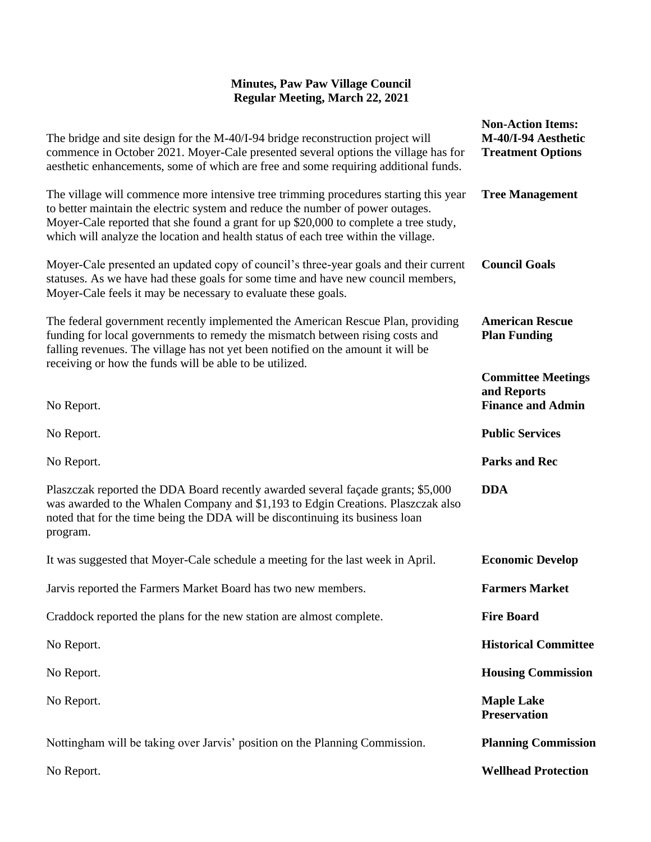| The bridge and site design for the M-40/I-94 bridge reconstruction project will<br>commence in October 2021. Moyer-Cale presented several options the village has for<br>aesthetic enhancements, some of which are free and some requiring additional funds.                                                                                         | <b>Non-Action Items:</b><br>M-40/I-94 Aesthetic<br><b>Treatment Options</b> |
|------------------------------------------------------------------------------------------------------------------------------------------------------------------------------------------------------------------------------------------------------------------------------------------------------------------------------------------------------|-----------------------------------------------------------------------------|
| The village will commence more intensive tree trimming procedures starting this year<br>to better maintain the electric system and reduce the number of power outages.<br>Moyer-Cale reported that she found a grant for up \$20,000 to complete a tree study,<br>which will analyze the location and health status of each tree within the village. | <b>Tree Management</b>                                                      |
| Moyer-Cale presented an updated copy of council's three-year goals and their current<br>statuses. As we have had these goals for some time and have new council members,<br>Moyer-Cale feels it may be necessary to evaluate these goals.                                                                                                            | <b>Council Goals</b>                                                        |
| The federal government recently implemented the American Rescue Plan, providing<br>funding for local governments to remedy the mismatch between rising costs and<br>falling revenues. The village has not yet been notified on the amount it will be<br>receiving or how the funds will be able to be utilized.                                      | <b>American Rescue</b><br><b>Plan Funding</b>                               |
|                                                                                                                                                                                                                                                                                                                                                      | <b>Committee Meetings</b>                                                   |
| No Report.                                                                                                                                                                                                                                                                                                                                           | and Reports<br><b>Finance and Admin</b>                                     |
| No Report.                                                                                                                                                                                                                                                                                                                                           | <b>Public Services</b>                                                      |
| No Report.                                                                                                                                                                                                                                                                                                                                           | <b>Parks and Rec</b>                                                        |
| Plaszczak reported the DDA Board recently awarded several façade grants; \$5,000<br>was awarded to the Whalen Company and \$1,193 to Edgin Creations. Plaszczak also<br>noted that for the time being the DDA will be discontinuing its business loan<br>program.                                                                                    | <b>DDA</b>                                                                  |
| It was suggested that Moyer-Cale schedule a meeting for the last week in April.                                                                                                                                                                                                                                                                      | <b>Economic Develop</b>                                                     |
| Jarvis reported the Farmers Market Board has two new members.                                                                                                                                                                                                                                                                                        | <b>Farmers Market</b>                                                       |
| Craddock reported the plans for the new station are almost complete.                                                                                                                                                                                                                                                                                 | <b>Fire Board</b>                                                           |
| No Report.                                                                                                                                                                                                                                                                                                                                           | <b>Historical Committee</b>                                                 |
| No Report.                                                                                                                                                                                                                                                                                                                                           | <b>Housing Commission</b>                                                   |
| No Report.                                                                                                                                                                                                                                                                                                                                           | <b>Maple Lake</b><br><b>Preservation</b>                                    |
| Nottingham will be taking over Jarvis' position on the Planning Commission.                                                                                                                                                                                                                                                                          | <b>Planning Commission</b>                                                  |
| No Report.                                                                                                                                                                                                                                                                                                                                           | <b>Wellhead Protection</b>                                                  |